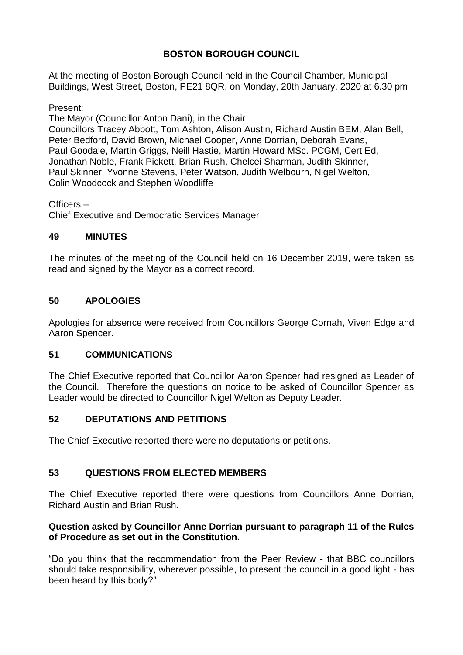# **BOSTON BOROUGH COUNCIL**

At the meeting of Boston Borough Council held in the Council Chamber, Municipal Buildings, West Street, Boston, PE21 8QR, on Monday, 20th January, 2020 at 6.30 pm

Present:

The Mayor (Councillor Anton Dani), in the Chair Councillors Tracey Abbott, Tom Ashton, Alison Austin, Richard Austin BEM, Alan Bell, Peter Bedford, David Brown, Michael Cooper, Anne Dorrian, Deborah Evans, Paul Goodale, Martin Griggs, Neill Hastie, Martin Howard MSc. PCGM, Cert Ed, Jonathan Noble, Frank Pickett, Brian Rush, Chelcei Sharman, Judith Skinner, Paul Skinner, Yvonne Stevens, Peter Watson, Judith Welbourn, Nigel Welton, Colin Woodcock and Stephen Woodliffe

Officers –

Chief Executive and Democratic Services Manager

## **49 MINUTES**

The minutes of the meeting of the Council held on 16 December 2019, were taken as read and signed by the Mayor as a correct record.

## **50 APOLOGIES**

Apologies for absence were received from Councillors George Cornah, Viven Edge and Aaron Spencer.

### **51 COMMUNICATIONS**

The Chief Executive reported that Councillor Aaron Spencer had resigned as Leader of the Council. Therefore the questions on notice to be asked of Councillor Spencer as Leader would be directed to Councillor Nigel Welton as Deputy Leader.

## **52 DEPUTATIONS AND PETITIONS**

The Chief Executive reported there were no deputations or petitions.

## **53 QUESTIONS FROM ELECTED MEMBERS**

The Chief Executive reported there were questions from Councillors Anne Dorrian, Richard Austin and Brian Rush.

## **Question asked by Councillor Anne Dorrian pursuant to paragraph 11 of the Rules of Procedure as set out in the Constitution.**

"Do you think that the recommendation from the Peer Review - that BBC councillors should take responsibility, wherever possible, to present the council in a good light - has been heard by this body?"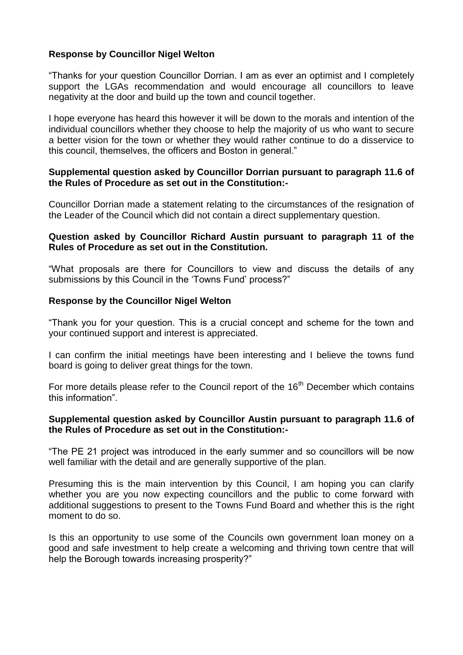## **Response by Councillor Nigel Welton**

"Thanks for your question Councillor Dorrian. I am as ever an optimist and I completely support the LGAs recommendation and would encourage all councillors to leave negativity at the door and build up the town and council together.

I hope everyone has heard this however it will be down to the morals and intention of the individual councillors whether they choose to help the majority of us who want to secure a better vision for the town or whether they would rather continue to do a disservice to this council, themselves, the officers and Boston in general."

#### **Supplemental question asked by Councillor Dorrian pursuant to paragraph 11.6 of the Rules of Procedure as set out in the Constitution:-**

Councillor Dorrian made a statement relating to the circumstances of the resignation of the Leader of the Council which did not contain a direct supplementary question.

#### **Question asked by Councillor Richard Austin pursuant to paragraph 11 of the Rules of Procedure as set out in the Constitution.**

"What proposals are there for Councillors to view and discuss the details of any submissions by this Council in the 'Towns Fund' process?"

#### **Response by the Councillor Nigel Welton**

"Thank you for your question. This is a crucial concept and scheme for the town and your continued support and interest is appreciated.

I can confirm the initial meetings have been interesting and I believe the towns fund board is going to deliver great things for the town.

For more details please refer to the Council report of the 16<sup>th</sup> December which contains this information".

### **Supplemental question asked by Councillor Austin pursuant to paragraph 11.6 of the Rules of Procedure as set out in the Constitution:-**

"The PE 21 project was introduced in the early summer and so councillors will be now well familiar with the detail and are generally supportive of the plan.

Presuming this is the main intervention by this Council, I am hoping you can clarify whether you are you now expecting councillors and the public to come forward with additional suggestions to present to the Towns Fund Board and whether this is the right moment to do so.

Is this an opportunity to use some of the Councils own government loan money on a good and safe investment to help create a welcoming and thriving town centre that will help the Borough towards increasing prosperity?"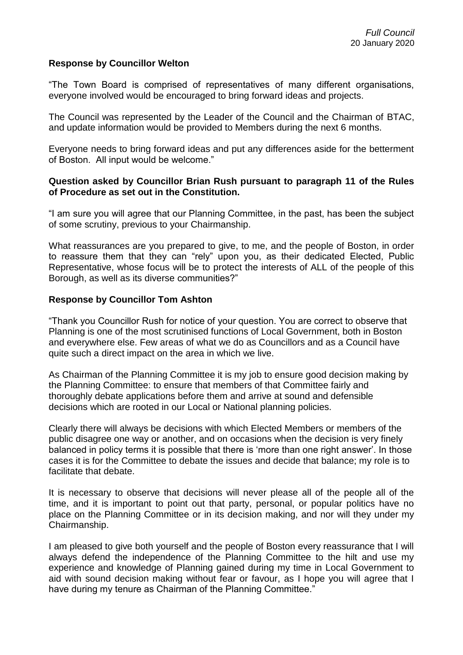#### **Response by Councillor Welton**

"The Town Board is comprised of representatives of many different organisations, everyone involved would be encouraged to bring forward ideas and projects.

The Council was represented by the Leader of the Council and the Chairman of BTAC, and update information would be provided to Members during the next 6 months.

Everyone needs to bring forward ideas and put any differences aside for the betterment of Boston. All input would be welcome."

#### **Question asked by Councillor Brian Rush pursuant to paragraph 11 of the Rules of Procedure as set out in the Constitution.**

"I am sure you will agree that our Planning Committee, in the past, has been the subject of some scrutiny, previous to your Chairmanship.

What reassurances are you prepared to give, to me, and the people of Boston, in order to reassure them that they can "rely" upon you, as their dedicated Elected, Public Representative, whose focus will be to protect the interests of ALL of the people of this Borough, as well as its diverse communities?"

#### **Response by Councillor Tom Ashton**

"Thank you Councillor Rush for notice of your question. You are correct to observe that Planning is one of the most scrutinised functions of Local Government, both in Boston and everywhere else. Few areas of what we do as Councillors and as a Council have quite such a direct impact on the area in which we live.

As Chairman of the Planning Committee it is my job to ensure good decision making by the Planning Committee: to ensure that members of that Committee fairly and thoroughly debate applications before them and arrive at sound and defensible decisions which are rooted in our Local or National planning policies.

Clearly there will always be decisions with which Elected Members or members of the public disagree one way or another, and on occasions when the decision is very finely balanced in policy terms it is possible that there is 'more than one right answer'. In those cases it is for the Committee to debate the issues and decide that balance; my role is to facilitate that debate.

It is necessary to observe that decisions will never please all of the people all of the time, and it is important to point out that party, personal, or popular politics have no place on the Planning Committee or in its decision making, and nor will they under my Chairmanship.

I am pleased to give both yourself and the people of Boston every reassurance that I will always defend the independence of the Planning Committee to the hilt and use my experience and knowledge of Planning gained during my time in Local Government to aid with sound decision making without fear or favour, as I hope you will agree that I have during my tenure as Chairman of the Planning Committee."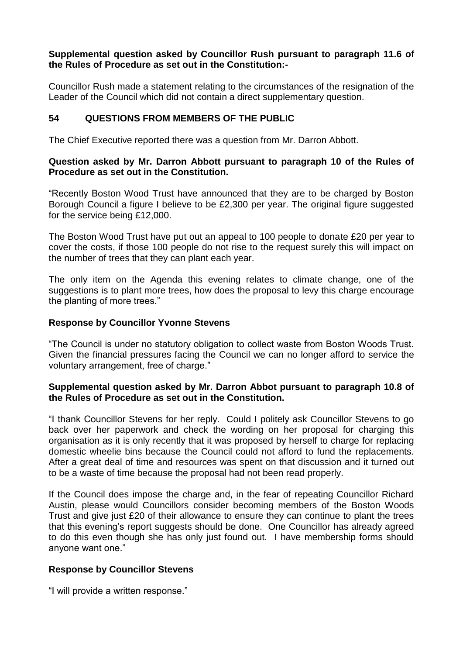### **Supplemental question asked by Councillor Rush pursuant to paragraph 11.6 of the Rules of Procedure as set out in the Constitution:-**

Councillor Rush made a statement relating to the circumstances of the resignation of the Leader of the Council which did not contain a direct supplementary question.

# **54 QUESTIONS FROM MEMBERS OF THE PUBLIC**

The Chief Executive reported there was a question from Mr. Darron Abbott.

## **Question asked by Mr. Darron Abbott pursuant to paragraph 10 of the Rules of Procedure as set out in the Constitution.**

"Recently Boston Wood Trust have announced that they are to be charged by Boston Borough Council a figure I believe to be £2,300 per year. The original figure suggested for the service being £12,000.

The Boston Wood Trust have put out an appeal to 100 people to donate £20 per year to cover the costs, if those 100 people do not rise to the request surely this will impact on the number of trees that they can plant each year.

The only item on the Agenda this evening relates to climate change, one of the suggestions is to plant more trees, how does the proposal to levy this charge encourage the planting of more trees."

## **Response by Councillor Yvonne Stevens**

"The Council is under no statutory obligation to collect waste from Boston Woods Trust. Given the financial pressures facing the Council we can no longer afford to service the voluntary arrangement, free of charge."

### **Supplemental question asked by Mr. Darron Abbot pursuant to paragraph 10.8 of the Rules of Procedure as set out in the Constitution.**

"I thank Councillor Stevens for her reply. Could I politely ask Councillor Stevens to go back over her paperwork and check the wording on her proposal for charging this organisation as it is only recently that it was proposed by herself to charge for replacing domestic wheelie bins because the Council could not afford to fund the replacements. After a great deal of time and resources was spent on that discussion and it turned out to be a waste of time because the proposal had not been read properly.

If the Council does impose the charge and, in the fear of repeating Councillor Richard Austin, please would Councillors consider becoming members of the Boston Woods Trust and give just £20 of their allowance to ensure they can continue to plant the trees that this evening's report suggests should be done. One Councillor has already agreed to do this even though she has only just found out. I have membership forms should anyone want one."

## **Response by Councillor Stevens**

"I will provide a written response."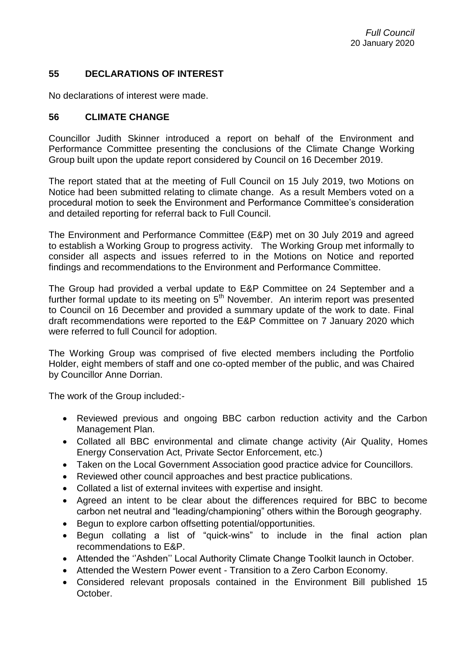## **55 DECLARATIONS OF INTEREST**

No declarations of interest were made.

## **56 CLIMATE CHANGE**

Councillor Judith Skinner introduced a report on behalf of the Environment and Performance Committee presenting the conclusions of the Climate Change Working Group built upon the update report considered by Council on 16 December 2019.

The report stated that at the meeting of Full Council on 15 July 2019, two Motions on Notice had been submitted relating to climate change. As a result Members voted on a procedural motion to seek the Environment and Performance Committee's consideration and detailed reporting for referral back to Full Council.

The Environment and Performance Committee (E&P) met on 30 July 2019 and agreed to establish a Working Group to progress activity. The Working Group met informally to consider all aspects and issues referred to in the Motions on Notice and reported findings and recommendations to the Environment and Performance Committee.

The Group had provided a verbal update to E&P Committee on 24 September and a further formal update to its meeting on  $5<sup>th</sup>$  November. An interim report was presented to Council on 16 December and provided a summary update of the work to date. Final draft recommendations were reported to the E&P Committee on 7 January 2020 which were referred to full Council for adoption.

The Working Group was comprised of five elected members including the Portfolio Holder, eight members of staff and one co-opted member of the public, and was Chaired by Councillor Anne Dorrian.

The work of the Group included:-

- Reviewed previous and ongoing BBC carbon reduction activity and the Carbon Management Plan.
- Collated all BBC environmental and climate change activity (Air Quality, Homes Energy Conservation Act, Private Sector Enforcement, etc.)
- Taken on the Local Government Association good practice advice for Councillors.
- Reviewed other council approaches and best practice publications.
- Collated a list of external invitees with expertise and insight.
- Agreed an intent to be clear about the differences required for BBC to become carbon net neutral and "leading/championing" others within the Borough geography.
- Begun to explore carbon offsetting potential/opportunities.
- Begun collating a list of "quick-wins" to include in the final action plan recommendations to E&P.
- Attended the ''Ashden'' Local Authority Climate Change Toolkit launch in October.
- Attended the Western Power event Transition to a Zero Carbon Economy.
- Considered relevant proposals contained in the Environment Bill published 15 October.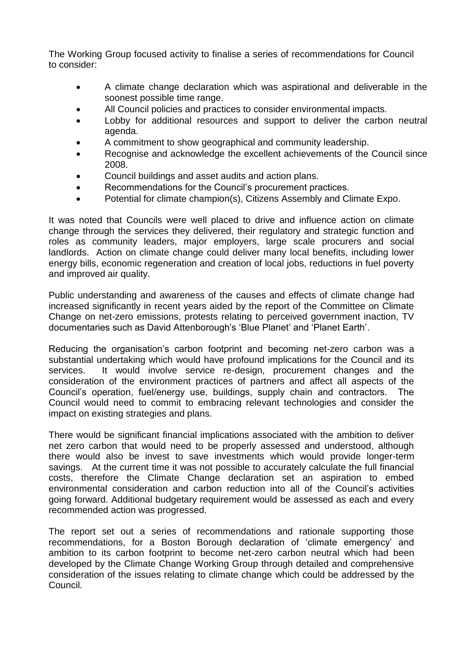The Working Group focused activity to finalise a series of recommendations for Council to consider:

- A climate change declaration which was aspirational and deliverable in the soonest possible time range.
- All Council policies and practices to consider environmental impacts.
- Lobby for additional resources and support to deliver the carbon neutral agenda.
- A commitment to show geographical and community leadership.
- Recognise and acknowledge the excellent achievements of the Council since 2008.
- Council buildings and asset audits and action plans.
- Recommendations for the Council's procurement practices.
- Potential for climate champion(s), Citizens Assembly and Climate Expo.

It was noted that Councils were well placed to drive and influence action on climate change through the services they delivered, their regulatory and strategic function and roles as community leaders, major employers, large scale procurers and social landlords. Action on climate change could deliver many local benefits, including lower energy bills, economic regeneration and creation of local jobs, reductions in fuel poverty and improved air quality.

Public understanding and awareness of the causes and effects of climate change had increased significantly in recent years aided by the report of the Committee on Climate Change on net-zero emissions, protests relating to perceived government inaction, TV documentaries such as David Attenborough's 'Blue Planet' and 'Planet Earth'.

Reducing the organisation's carbon footprint and becoming net-zero carbon was a substantial undertaking which would have profound implications for the Council and its services. It would involve service re-design, procurement changes and the consideration of the environment practices of partners and affect all aspects of the Council's operation, fuel/energy use, buildings, supply chain and contractors. The Council would need to commit to embracing relevant technologies and consider the impact on existing strategies and plans.

There would be significant financial implications associated with the ambition to deliver net zero carbon that would need to be properly assessed and understood, although there would also be invest to save investments which would provide longer-term savings. At the current time it was not possible to accurately calculate the full financial costs, therefore the Climate Change declaration set an aspiration to embed environmental consideration and carbon reduction into all of the Council's activities going forward. Additional budgetary requirement would be assessed as each and every recommended action was progressed.

The report set out a series of recommendations and rationale supporting those recommendations, for a Boston Borough declaration of 'climate emergency' and ambition to its carbon footprint to become net-zero carbon neutral which had been developed by the Climate Change Working Group through detailed and comprehensive consideration of the issues relating to climate change which could be addressed by the Council.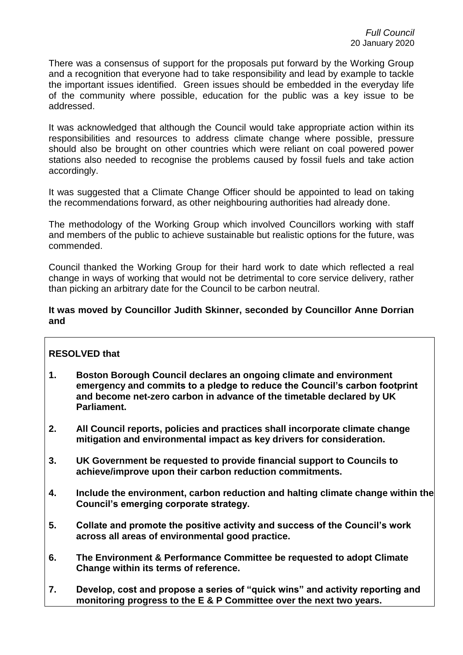There was a consensus of support for the proposals put forward by the Working Group and a recognition that everyone had to take responsibility and lead by example to tackle the important issues identified. Green issues should be embedded in the everyday life of the community where possible, education for the public was a key issue to be addressed.

It was acknowledged that although the Council would take appropriate action within its responsibilities and resources to address climate change where possible, pressure should also be brought on other countries which were reliant on coal powered power stations also needed to recognise the problems caused by fossil fuels and take action accordingly.

It was suggested that a Climate Change Officer should be appointed to lead on taking the recommendations forward, as other neighbouring authorities had already done.

The methodology of the Working Group which involved Councillors working with staff and members of the public to achieve sustainable but realistic options for the future, was commended.

Council thanked the Working Group for their hard work to date which reflected a real change in ways of working that would not be detrimental to core service delivery, rather than picking an arbitrary date for the Council to be carbon neutral.

#### **It was moved by Councillor Judith Skinner, seconded by Councillor Anne Dorrian and**

## **RESOLVED that**

- **1. Boston Borough Council declares an ongoing climate and environment emergency and commits to a pledge to reduce the Council's carbon footprint and become net-zero carbon in advance of the timetable declared by UK Parliament.**
- **2. All Council reports, policies and practices shall incorporate climate change mitigation and environmental impact as key drivers for consideration.**
- **3. UK Government be requested to provide financial support to Councils to achieve/improve upon their carbon reduction commitments.**
- **4. Include the environment, carbon reduction and halting climate change within the Council's emerging corporate strategy.**
- **5. Collate and promote the positive activity and success of the Council's work across all areas of environmental good practice.**
- **6. The Environment & Performance Committee be requested to adopt Climate Change within its terms of reference.**
- **7. Develop, cost and propose a series of "quick wins" and activity reporting and monitoring progress to the E & P Committee over the next two years.**